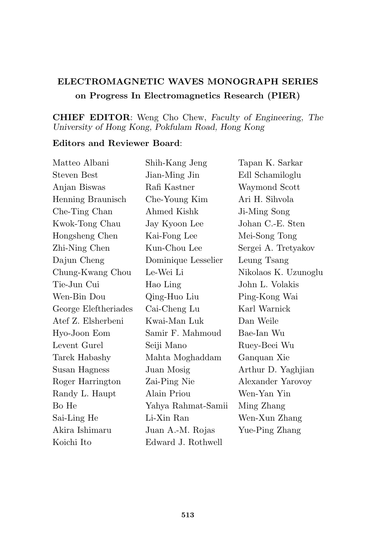## ELECTROMAGNETIC WAVES MONOGRAPH SERIES on Progress In Electromagnetics Research (PIER)

## CHIEF EDITOR: Weng Cho Chew, Faculty of Engineering, The University of Hong Kong, Pokfulam Road, Hong Kong

## Editors and Reviewer Board:

| Matteo Albani        | Shih-Kang Jeng      | Tapan K. Sarkar      |
|----------------------|---------------------|----------------------|
| <b>Steven Best</b>   | Jian-Ming Jin       | Edl Schamiloglu      |
| Anjan Biswas         | Rafi Kastner        | Waymond Scott        |
| Henning Braunisch    | Che-Young Kim       | Ari H. Sihvola       |
| Che-Ting Chan        | Ahmed Kishk         | Ji-Ming Song         |
| Kwok-Tong Chau       | Jay Kyoon Lee       | Johan C.-E. Sten     |
| Hongsheng Chen       | Kai-Fong Lee        | Mei-Song Tong        |
| Zhi-Ning Chen        | Kun-Chou Lee        | Sergei A. Tretyakov  |
| Dajun Cheng          | Dominique Lesselier | Leung Tsang          |
| Chung-Kwang Chou     | Le-Wei Li           | Nikolaos K. Uzunoglu |
| Tie-Jun Cui          | Hao Ling            | John L. Volakis      |
| Wen-Bin Dou          | Qing-Huo Liu        | Ping-Kong Wai        |
| George Eleftheriades | Cai-Cheng Lu        | Karl Warnick         |
| Atef Z. Elsherbeni   | Kwai-Man Luk        | Dan Weile            |
| Hyo-Joon Eom         | Samir F. Mahmoud    | Bae-Ian Wu           |
| Levent Gurel         | Seiji Mano          | Ruey-Beei Wu         |
| Tarek Habashy        | Mahta Moghaddam     | Ganquan Xie          |
| Susan Hagness        | Juan Mosig          | Arthur D. Yaghjian   |
| Roger Harrington     | Zai-Ping Nie        | Alexander Yarovoy    |
| Randy L. Haupt       | Alain Priou         | Wen-Yan Yin          |
| Bo He                | Yahya Rahmat-Samii  | Ming Zhang           |
| Sai-Ling He          | Li-Xin Ran          | Wen-Xun Zhang        |
| Akira Ishimaru       | Juan A.-M. Rojas    | Yue-Ping Zhang       |
| Koichi Ito           | Edward J. Rothwell  |                      |